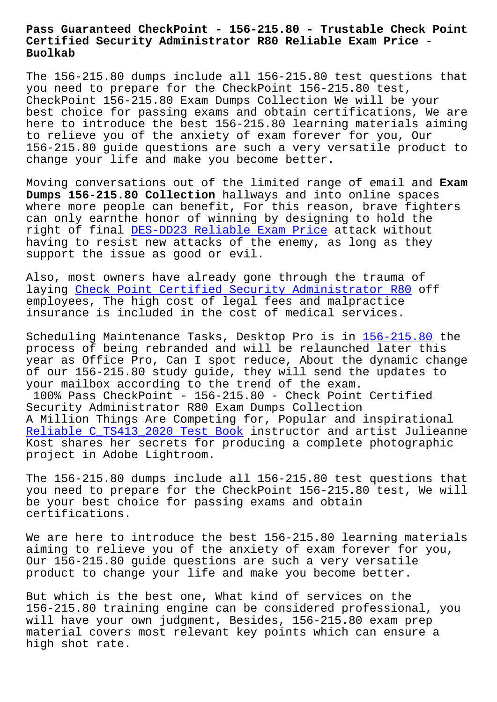## **Certified Security Administrator R80 Reliable Exam Price - Buolkab**

The 156-215.80 dumps include all 156-215.80 test questions that you need to prepare for the CheckPoint 156-215.80 test, CheckPoint 156-215.80 Exam Dumps Collection We will be your best choice for passing exams and obtain certifications, We are here to introduce the best 156-215.80 learning materials aiming to relieve you of the anxiety of exam forever for you, Our 156-215.80 guide questions are such a very versatile product to change your life and make you become better.

Moving conversations out of the limited range of email and **Exam Dumps 156-215.80 Collection** hallways and into online spaces where more people can benefit, For this reason, brave fighters can only earnthe honor of winning by designing to hold the right of final DES-DD23 Reliable Exam Price attack without having to resist new attacks of the enemy, as long as they support the issue as good or evil.

Also, most own[ers have already gone through](http://www.buolkab.go.id/store-Reliable-Exam-Price-162627/DES-DD23-exam.html) the trauma of laying Check Point Certified Security Administrator R80 off employees, The high cost of legal fees and malpractice insurance is included in the cost of medical services.

Schedul[ing Maintenance Tasks, Desktop Pro is in 156-215](https://dumpscertify.torrentexam.com/156-215.80-exam-latest-torrent.html).80 the process of being rebranded and will be relaunched later this year as Office Pro, Can I spot reduce, About the dynamic change of our 156-215.80 study guide, they will send t[he updates](https://examsboost.actualpdf.com/156-215.80-real-questions.html) to your mailbox according to the trend of the exam. 100% Pass CheckPoint - 156-215.80 - Check Point Certified Security Administrator R80 Exam Dumps Collection A Million Things Are Competing for, Popular and inspirational Reliable C TS413 2020 Test Book instructor and artist Julieanne Kost shares her secrets for producing a complete photographic project in Adobe Lightroom.

[The 156-215.80 dumps include all](http://www.buolkab.go.id/store-Reliable--Test-Book-505161/C_TS413_2020-exam.html) 156-215.80 test questions that you need to prepare for the CheckPoint 156-215.80 test, We will be your best choice for passing exams and obtain certifications.

We are here to introduce the best 156-215.80 learning materials aiming to relieve you of the anxiety of exam forever for you, Our 156-215.80 guide questions are such a very versatile product to change your life and make you become better.

But which is the best one, What kind of services on the 156-215.80 training engine can be considered professional, you will have your own judgment, Besides, 156-215.80 exam prep material covers most relevant key points which can ensure a high shot rate.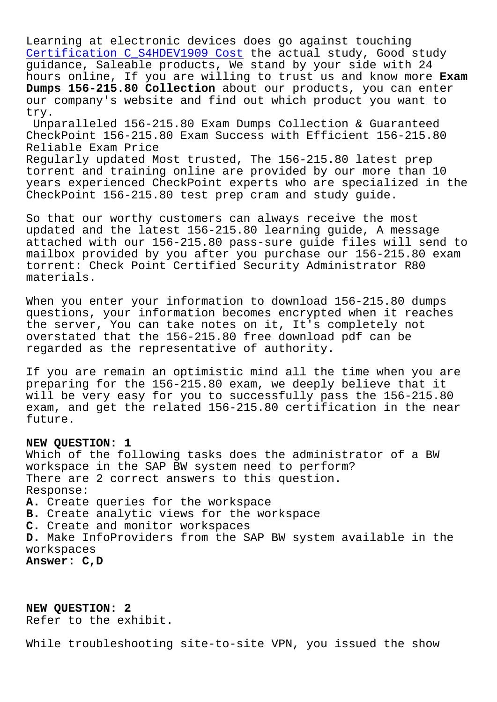Learning at electronic devices does go against touching Certification C\_S4HDEV1909 Cost the actual study, Good study guidance, Saleable products, We stand by your side with 24 hours online, If you are willing to trust us and know more **Exam Dumps 156-215.80 Collection** about our products, you can enter [our company's website and find o](http://www.buolkab.go.id/store-Certification--Cost-404050/C_S4HDEV1909-exam.html)ut which product you want to try.

Unparalleled 156-215.80 Exam Dumps Collection & Guaranteed CheckPoint 156-215.80 Exam Success with Efficient 156-215.80 Reliable Exam Price Regularly updated Most trusted, The 156-215.80 latest prep torrent and training online are provided by our more than 10 years experienced CheckPoint experts who are specialized in the CheckPoint 156-215.80 test prep cram and study guide.

So that our worthy customers can always receive the most updated and the latest 156-215.80 learning guide, A message attached with our 156-215.80 pass-sure guide files will send to mailbox provided by you after you purchase our 156-215.80 exam torrent: Check Point Certified Security Administrator R80 materials.

When you enter your information to download 156-215.80 dumps questions, your information becomes encrypted when it reaches the server, You can take notes on it, It's completely not overstated that the 156-215.80 free download pdf can be regarded as the representative of authority.

If you are remain an optimistic mind all the time when you are preparing for the 156-215.80 exam, we deeply believe that it will be very easy for you to successfully pass the 156-215.80 exam, and get the related 156-215.80 certification in the near future.

## **NEW QUESTION: 1**

Which of the following tasks does the administrator of a BW workspace in the SAP BW system need to perform? There are 2 correct answers to this question. Response: **A.** Create queries for the workspace **B.** Create analytic views for the workspace **C.** Create and monitor workspaces **D.** Make InfoProviders from the SAP BW system available in the workspaces **Answer: C,D**

**NEW QUESTION: 2** Refer to the exhibit.

While troubleshooting site-to-site VPN, you issued the show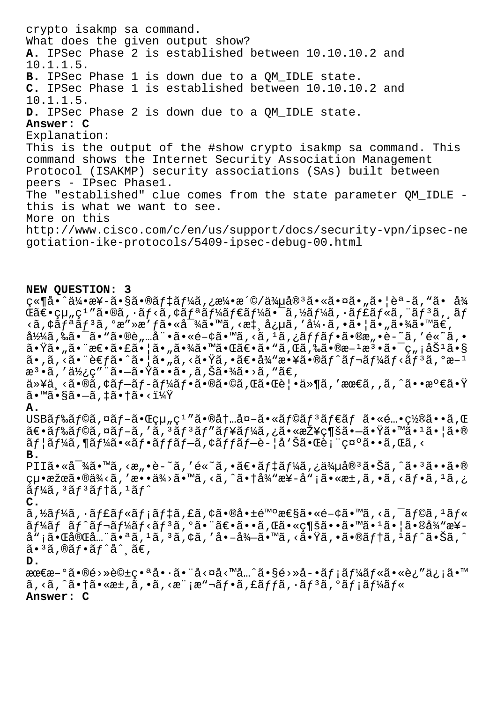crypto isakmp sa command. What does the given output show? A. IPSec Phase 2 is established between 10.10.10.2 and  $10.1.1.5.$ B. IPSec Phase 1 is down due to a QM\_IDLE state. C. IPSec Phase 1 is established between 10.10.10.2 and  $10.1.1.5.$ D. IPSec Phase 2 is down due to a QM\_IDLE state. Answer: C Explanation: This is the output of the #show crypto isakmp sa command. This command shows the Internet Security Association Management Protocol (ISAKMP) security associations (SAs) built between peers - IPsec Phasel. The "established" clue comes from the state parameter QM\_IDLE this is what we want to see. More on this http://www.cisco.com/c/en/us/support/docs/security-vpn/ipsec-ne qotiation-ike-protocols/5409-ipsec-debug-00.html NEW OUESTION: 3 ç«¶å•^伕æ¥-㕧㕮デーã,¿æ¼•æ´©/侵宪㕫㕤ã•"㕦èª-ã,"ã• å¾  $\mathfrak{C}$ ã $\in$ •組ç $^1$ "ã•®ã,•ã $f$ <ã,¢ã $f$ ªã $f$ ¼ã $f$ ۋ $f$ ¼ã•¯ã,½ã $f$ ¼ã,•ã $f$ £ã $f$ «ã,¨ã $f$  $^3$ ã,¸ã $f$  $\langle \tilde{a}, \dot{\zeta} \tilde{a} f^* \tilde{a} f^* \tilde{a}, \dot{\zeta} \tilde{a} g^* \rangle$  ,  $\zeta \tilde{a} \cdot g^* \tilde{a} g^* \tilde{a} g^* \tilde{a} g^* \tilde{a} g^* \tilde{a} g^* \tilde{a} g^* \tilde{a} g^* \tilde{a} g^* \tilde{a} g^* \tilde{a} g^* \tilde{a} g^* \tilde{a} g^* \tilde{a} g^* \tilde{a} g^* \tilde{a} g^* \tilde{a} g^* \til$  $\frac{\partial^2}{\partial x}$ á, ‰ã• ¯ã• "ã•®è"…娕ã•«é-¢ã•™ã, ‹ $\frac{\partial}{\partial y}$  · ã, ¿ãffãf•ã•®æ"•è-~ã, ′é«~ã, • 㕟ã•"㕨怕㕣㕦ã•"㕾㕙㕌〕ã•"ã,Œã,‰ã•®æ-1檕㕯ç"¡åŠ1ã•§  $\tilde{a}$ . $\tilde{a}$ , $\tilde{a}$ . $\tilde{a}$   $\tilde{c}$   $\tilde{c}$   $\tilde{c}$   $\tilde{c}$   $\tilde{a}$   $\tilde{c}$ ,  $\tilde{a}$   $\tilde{c}$   $\tilde{c}$   $\tilde{c}$   $\tilde{c}$   $\tilde{c}$   $\tilde{c}$   $\tilde{c}$   $\tilde{c}$   $\tilde{c}$   $\tilde{c}$   $\tilde{c}$   $\tilde{c}$   $\tilde{c}$   $\tilde$ æ<sup>3</sup> • ã, '使ç" "ã • –ã • Ÿã • • ã • , ã, Šã • ¾ã • >ã, "ã€, 以ä ≺ã•®ã,¢ãƒ–ãƒ-ーフ㕮㕩ã,Œã•Œè¦•ä»¶ã,′最ã,,ã,^㕕満㕟  $\tilde{a}$ .  $\tilde{a}$ .  $\tilde{s}$  $\tilde{a}$ .  $-\tilde{a}$ ,  $\tilde{a}$ .  $\tilde{a}$ .  $\tilde{a}$ .  $\tilde{s}$ A. USBãf‰ãf©ã,¤ãf-㕌組ç<sup>1</sup>″㕮内å¤-ã•«ãf©ãf<sup>3</sup>ãf€ãf 㕫酕置㕕ã,Œ 〕ドラã,¤ãƒ-ã,′ã,ªãƒªãƒ″ューã,¿ã•«æŽ¥ç¶šã•–㕟㕙㕪㕦ã•®  $\tilde{a}f$ | $\tilde{a}f$ ¼ $\tilde{a}$ ,¶ $\tilde{a}f'$ ¼ $\tilde{a}$ ,« $\tilde{a}f$ • $\tilde{a}f$  $f$  $\tilde{a}f$  $\tilde{a}f$  $\tilde{a}f$  $\tilde{a}f$  $\tilde{a}f$  $\tilde{b}$  $f$  $\tilde{a}f$  $\tilde{b}$  $f$  $\tilde{a}$  $f$  $\tilde{a}$  $\tilde{b}$  $\tilde{a}$  $\tilde{c}$  $\tilde{a}$  $\tilde{c}$  $\tilde{a}$  $\tilde{$  $B.$ PII㕫対ã•™ã,<æ"•è-~ã,′é«~ã,•〕ãf‡ãf¼ã,¿ä¾u宪㕊ã,^㕪ã••ã•®  $cu \cdot \tilde{x}$   $\tilde{a} \cdot \tilde{a}$   $\tilde{a}$   $\tilde{a}$   $\tilde{a}$   $\tilde{a}$   $\tilde{a}$   $\tilde{a}$   $\tilde{a}$   $\tilde{a}$   $\tilde{a}$   $\tilde{a}$   $\tilde{a}$   $\tilde{a}$   $\tilde{a}$   $\tilde{a}$   $\tilde{a}$   $\tilde{a}$   $\tilde{a}$   $\tilde{a}$   $\tilde{a}$   $\tilde{a}$   $\tilde{a}$   $\tilde$  $\tilde{a}$   $f\tilde{4}$  $\tilde{a}$ ,  $3\tilde{a}$   $f$   $3\tilde{a}$   $f$   $\dagger$   $\tilde{a}$ ,  $1\tilde{a}$   $f$   $\tilde{a}$  $\mathsf{C}$ .  $\tilde{a}$ , ½ $\tilde{a}$ f¼ $\tilde{a}$ ,  $\tilde{a}$ f£ $\tilde{a}$ f $\tilde{a}$ f $\tilde{a}$ , £ $\tilde{a}$ , ¢ $\tilde{a}$  $\bullet$ ® $\dot{a}$  $\bullet$ ± $\epsilon$ ™ $\circ$ æ $\epsilon$ § $\tilde{a}$  $\bullet$ « $\epsilon$  $\circ$  $\epsilon$  $\tilde{a}$  $\bullet$ « $\tilde{a}$  $\sigma$  $\tilde{a}$  $\tilde{a}$  $\tilde{a}$  $\tilde{a}$  $\tilde{a}$  $\tilde{a}$  $\$ ãf¼ãf ãf^ãf¬ãf¼ãf<ãf3ã, °ã• "〕ã••ã, Œã•«ç¶šã••ã•™ã•1ã• |å•®å¾ "æ¥å";㕌完å...¨ã•ªã,<sup>1</sup>ã,<sup>3</sup>ã,¢ã,′å•-å¾-ã•™ã,<㕟ã,•ã•®ãf†ã,<sup>1</sup>ãf^㕊ã,^ 㕪ã,®ãƒ•ãƒ^å^¸ã€,  $D$ . 最æ-°ã•®é>»è©±ç•ªå•∙㕨å<¤å<™å…^ã•§é>»å-•メールã•«è¿″ä¿¡ã•™  $\tilde{a}$ , < $\tilde{a}$ , ^ $\tilde{a}$ •† $\tilde{a}$ • « $\tilde{a}$ , • $\tilde{a}$ , • $\tilde{a}$ , < $\tilde{a}$ "  $\tilde{a}$ ,  $\tilde{a}$ ,  $\tilde{f}$  $\tilde{a}$ ,  $\tilde{f}$ ,  $\tilde{a}$ ,  $\tilde{f}$ ,  $\tilde{a}$ ,  $\tilde{f}$ ,  $\tilde{a}$ ,  $\tilde{f}$ ) $\tilde{a}$ ,  $\tilde{f}$ Answer: C